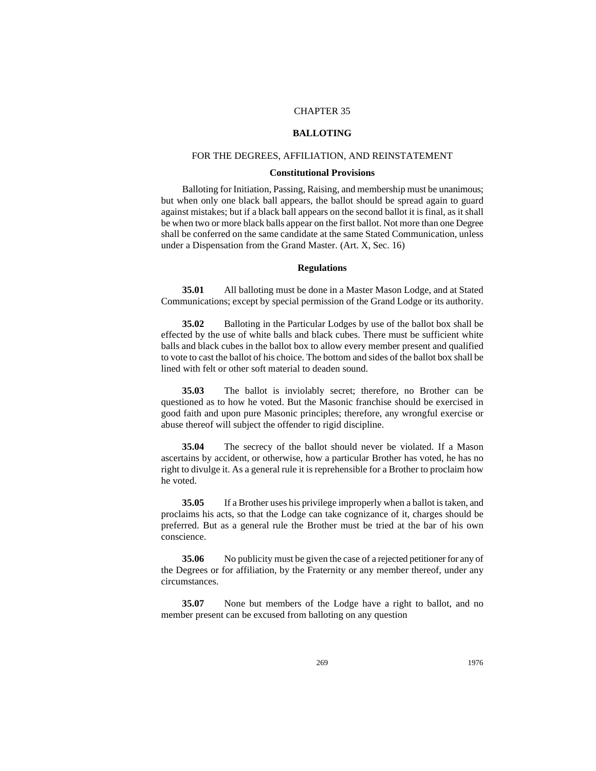# CHAPTER 35

## **BALLOTING**

# FOR THE DEGREES, AFFILIATION, AND REINSTATEMENT

## **Constitutional Provisions**

Balloting for Initiation, Passing, Raising, and membership must be unanimous; but when only one black ball appears, the ballot should be spread again to guard against mistakes; but if a black ball appears on the second ballot it is final, as it shall be when two or more black balls appear on the first ballot. Not more than one Degree shall be conferred on the same candidate at the same Stated Communication, unless under a Dispensation from the Grand Master. (Art. X, Sec. 16)

# **Regulations**

**35.01** All balloting must be done in a Master Mason Lodge, and at Stated Communications; except by special permission of the Grand Lodge or its authority.

**35.02** Balloting in the Particular Lodges by use of the ballot box shall be effected by the use of white balls and black cubes. There must be sufficient white balls and black cubes in the ballot box to allow every member present and qualified to vote to cast the ballot of his choice. The bottom and sides of the ballot box shall be lined with felt or other soft material to deaden sound.

**35.03** The ballot is inviolably secret; therefore, no Brother can be questioned as to how he voted. But the Masonic franchise should be exercised in good faith and upon pure Masonic principles; therefore, any wrongful exercise or abuse thereof will subject the offender to rigid discipline.

**35.04** The secrecy of the ballot should never be violated. If a Mason ascertains by accident, or otherwise, how a particular Brother has voted, he has no right to divulge it. As a general rule it is reprehensible for a Brother to proclaim how he voted.

**35.05** If a Brother uses his privilege improperly when a ballot is taken, and proclaims his acts, so that the Lodge can take cognizance of it, charges should be preferred. But as a general rule the Brother must be tried at the bar of his own conscience.

**35.06** No publicity must be given the case of a rejected petitioner for any of the Degrees or for affiliation, by the Fraternity or any member thereof, under any circumstances.

**35.07** None but members of the Lodge have a right to ballot, and no member present can be excused from balloting on any question

269 1976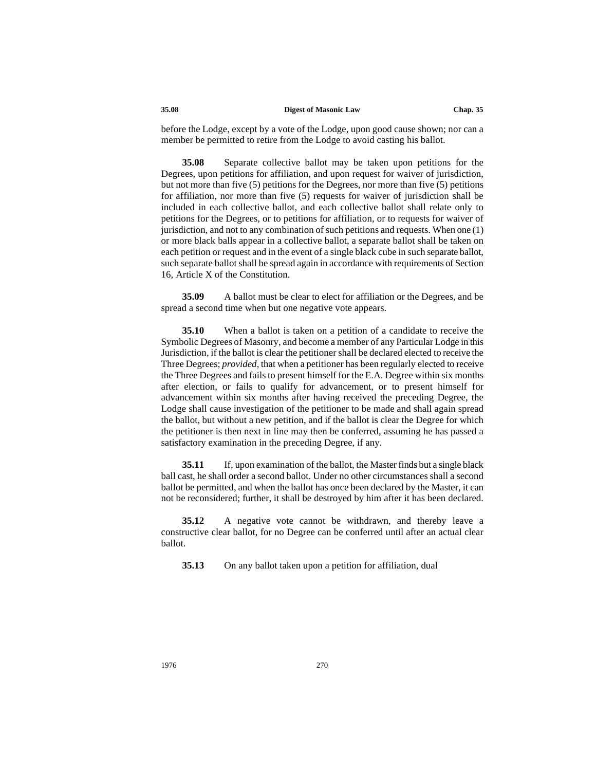#### **35.08 Digest of Masonic Law Chap. 35**

before the Lodge, except by a vote of the Lodge, upon good cause shown; nor can a member be permitted to retire from the Lodge to avoid casting his ballot.

**35.08** Separate collective ballot may be taken upon petitions for the Degrees, upon petitions for affiliation, and upon request for waiver of jurisdiction, but not more than five (5) petitions for the Degrees, nor more than five (5) petitions for affiliation, nor more than five (5) requests for waiver of jurisdiction shall be included in each collective ballot, and each collective ballot shall relate only to petitions for the Degrees, or to petitions for affiliation, or to requests for waiver of jurisdiction, and not to any combination of such petitions and requests. When one (1) or more black balls appear in a collective ballot, a separate ballot shall be taken on each petition or request and in the event of a single black cube in such separate ballot, such separate ballot shall be spread again in accordance with requirements of Section 16, Article X of the Constitution.

**35.09** A ballot must be clear to elect for affiliation or the Degrees, and be spread a second time when but one negative vote appears.

**35.10** When a ballot is taken on a petition of a candidate to receive the Symbolic Degrees of Masonry, and become a member of any Particular Lodge in this Jurisdiction, if the ballot is clear the petitioner shall be declared elected to receive the Three Degrees; *provided,* that when a petitioner has been regularly elected to receive the Three Degrees and fails to present himself for the E.A. Degree within six months after election, or fails to qualify for advancement, or to present himself for advancement within six months after having received the preceding Degree, the Lodge shall cause investigation of the petitioner to be made and shall again spread the ballot, but without a new petition, and if the ballot is clear the Degree for which the petitioner is then next in line may then be conferred, assuming he has passed a satisfactory examination in the preceding Degree, if any.

**35.11** If, upon examination of the ballot, the Master finds but a single black ball cast, he shall order a second ballot. Under no other circumstances shall a second ballot be permitted, and when the ballot has once been declared by the Master, it can not be reconsidered; further, it shall be destroyed by him after it has been declared.

**35.12** A negative vote cannot be withdrawn, and thereby leave a constructive clear ballot, for no Degree can be conferred until after an actual clear ballot.

**35.13** On any ballot taken upon a petition for affiliation, dual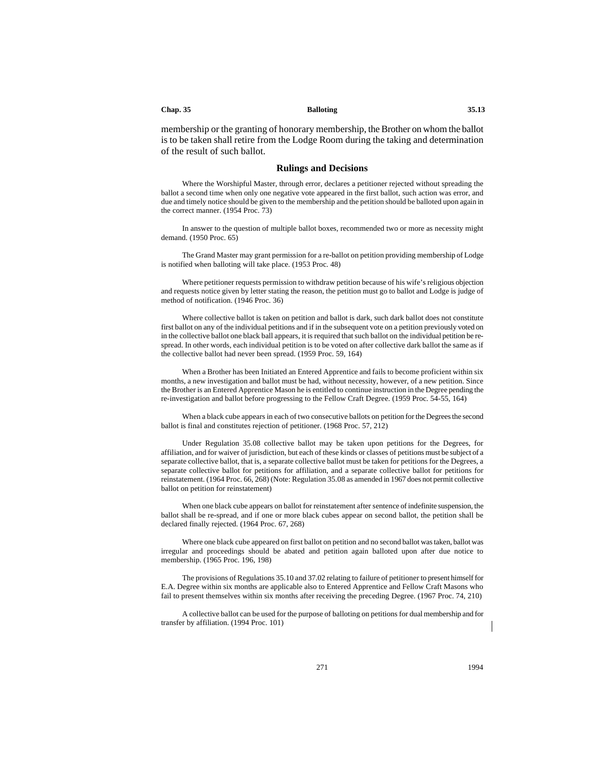#### **Chap. 35 Balloting 35.13**

membership or the granting of honorary membership, the Brother on whom the ballot is to be taken shall retire from the Lodge Room during the taking and determination of the result of such ballot.

#### **Rulings and Decisions**

Where the Worshipful Master, through error, declares a petitioner rejected without spreading the ballot a second time when only one negative vote appeared in the first ballot, such action was error, and due and timely notice should be given to the membership and the petition should be balloted upon again in the correct manner. (1954 Proc. 73)

In answer to the question of multiple ballot boxes, recommended two or more as necessity might demand. (1950 Proc. 65)

The Grand Master may grant permission for a re-ballot on petition providing membership of Lodge is notified when balloting will take place. (1953 Proc. 48)

Where petitioner requests permission to withdraw petition because of his wife's religious objection and requests notice given by letter stating the reason, the petition must go to ballot and Lodge is judge of method of notification. (1946 Proc. 36)

Where collective ballot is taken on petition and ballot is dark, such dark ballot does not constitute first ballot on any of the individual petitions and if in the subsequent vote on a petition previously voted on in the collective ballot one black ball appears, it is required that such ballot on the individual petition be respread. In other words, each individual petition is to be voted on after collective dark ballot the same as if the collective ballot had never been spread. (1959 Proc. 59, 164)

When a Brother has been Initiated an Entered Apprentice and fails to become proficient within six months, a new investigation and ballot must be had, without necessity, however, of a new petition. Since the Brother is an Entered Apprentice Mason he is entitled to continue instruction in the Degree pending the re-investigation and ballot before progressing to the Fellow Craft Degree. (1959 Proc. 54-55, 164)

When a black cube appears in each of two consecutive ballots on petition for the Degrees the second ballot is final and constitutes rejection of petitioner. (1968 Proc. 57, 212)

Under Regulation 35.08 collective ballot may be taken upon petitions for the Degrees, for affiliation, and for waiver of jurisdiction, but each of these kinds or classes of petitions must be subject of a separate collective ballot, that is, a separate collective ballot must be taken for petitions for the Degrees, a separate collective ballot for petitions for affiliation, and a separate collective ballot for petitions for reinstatement. (1964 Proc. 66, 268) (Note: Regulation 35.08 as amended in 1967 does not permit collective ballot on petition for reinstatement)

When one black cube appears on ballot for reinstatement after sentence of indefinite suspension, the ballot shall be re-spread, and if one or more black cubes appear on second ballot, the petition shall be declared finally rejected. (1964 Proc. 67, 268)

Where one black cube appeared on first ballot on petition and no second ballot was taken, ballot was irregular and proceedings should be abated and petition again balloted upon after due notice to membership. (1965 Proc. 196, 198)

The provisions of Regulations 35.10 and 37.02 relating to failure of petitioner to present himself for E.A. Degree within six months are applicable also to Entered Apprentice and Fellow Craft Masons who fail to present themselves within six months after receiving the preceding Degree. (1967 Proc. 74, 210)

A collective ballot can be used for the purpose of balloting on petitions for dual membership and for transfer by affiliation. (1994 Proc. 101)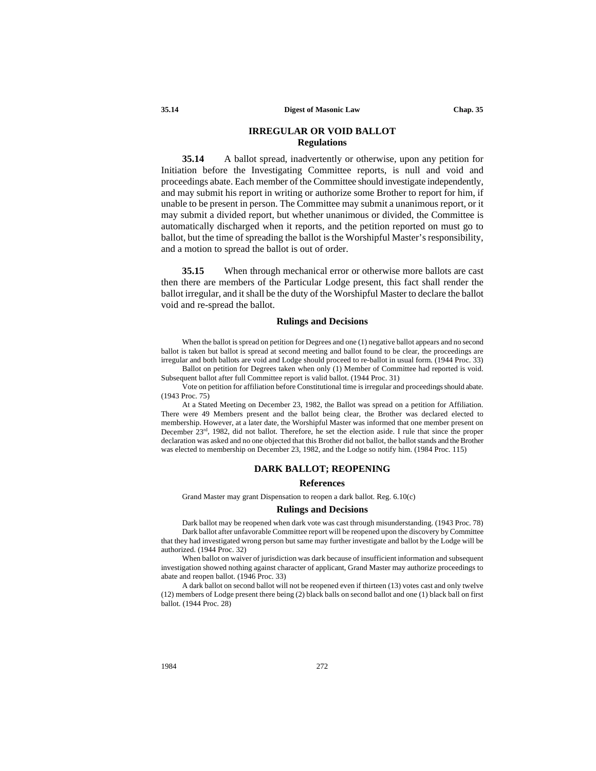# **IRREGULAR OR VOID BALLOT Regulations**

**35.14** A ballot spread, inadvertently or otherwise, upon any petition for Initiation before the Investigating Committee reports, is null and void and proceedings abate. Each member of the Committee should investigate independently, and may submit his report in writing or authorize some Brother to report for him, if unable to be present in person. The Committee may submit a unanimous report, or it may submit a divided report, but whether unanimous or divided, the Committee is automatically discharged when it reports, and the petition reported on must go to ballot, but the time of spreading the ballot is the Worshipful Master's responsibility, and a motion to spread the ballot is out of order.

**35.15** When through mechanical error or otherwise more ballots are cast then there are members of the Particular Lodge present, this fact shall render the ballot irregular, and it shall be the duty of the Worshipful Master to declare the ballot void and re-spread the ballot.

# **Rulings and Decisions**

When the ballot is spread on petition for Degrees and one (1) negative ballot appears and no second ballot is taken but ballot is spread at second meeting and ballot found to be clear, the proceedings are irregular and both ballots are void and Lodge should proceed to re-ballot in usual form. (1944 Proc. 33) Ballot on petition for Degrees taken when only (1) Member of Committee had reported is void.

Subsequent ballot after full Committee report is valid ballot. (1944 Proc. 31) Vote on petition for affiliation before Constitutional time is irregular and proceedings should abate.

(1943 Proc. 75)

At a Stated Meeting on December 23, 1982, the Ballot was spread on a petition for Affiliation. There were 49 Members present and the ballot being clear, the Brother was declared elected to membership. However, at a later date, the Worshipful Master was informed that one member present on December 23rd, 1982, did not ballot. Therefore, he set the election aside. I rule that since the proper declaration was asked and no one objected that this Brother did not ballot, the ballot stands and the Brother was elected to membership on December 23, 1982, and the Lodge so notify him. (1984 Proc. 115)

#### **DARK BALLOT; REOPENING**

### **References**

Grand Master may grant Dispensation to reopen a dark ballot. Reg. 6.10(c)

### **Rulings and Decisions**

Dark ballot may be reopened when dark vote was cast through misunderstanding. (1943 Proc. 78) Dark ballot after unfavorable Committee report will be reopened upon the discovery by Committee that they had investigated wrong person but same may further investigate and ballot by the Lodge will be authorized. (1944 Proc. 32)

When ballot on waiver of jurisdiction was dark because of insufficient information and subsequent investigation showed nothing against character of applicant, Grand Master may authorize proceedings to abate and reopen ballot. (1946 Proc. 33)

A dark ballot on second ballot will not be reopened even if thirteen (13) votes cast and only twelve (12) members of Lodge present there being (2) black balls on second ballot and one (1) black ball on first ballot. (1944 Proc. 28)